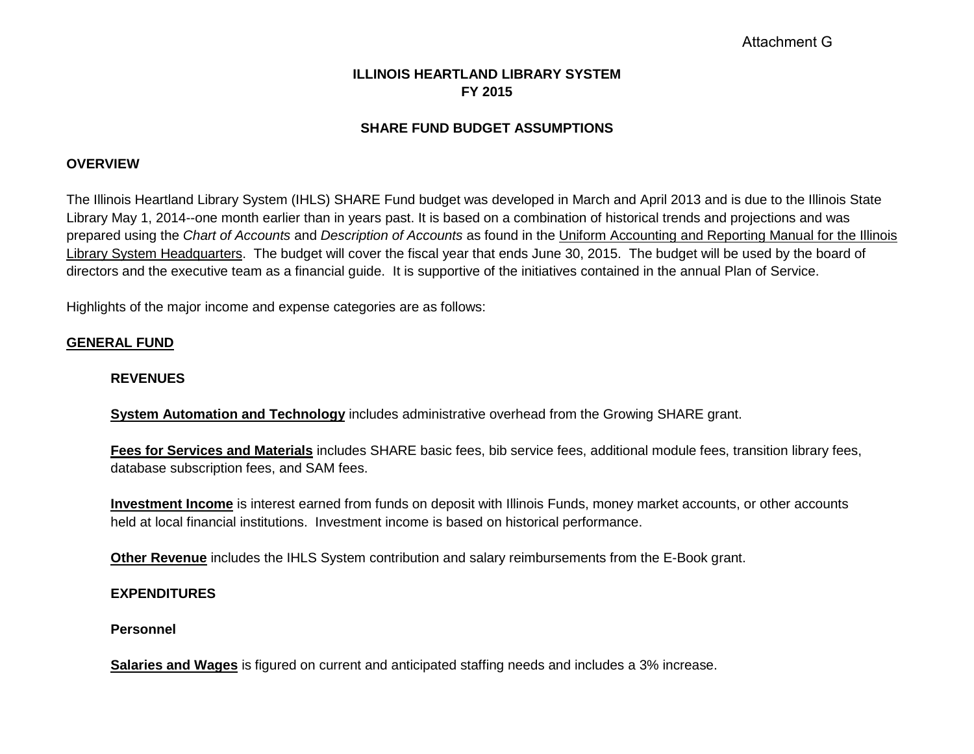# Attachment G

# **ILLINOIS HEARTLAND LIBRARY SYSTEM FY 2015**

### **SHARE FUND BUDGET ASSUMPTIONS**

#### **OVERVIEW**

The Illinois Heartland Library System (IHLS) SHARE Fund budget was developed in March and April 2013 and is due to the Illinois State Library May 1, 2014--one month earlier than in years past. It is based on a combination of historical trends and projections and was prepared using the *Chart of Accounts* and *Description of Accounts* as found in the Uniform Accounting and Reporting Manual for the Illinois Library System Headquarters. The budget will cover the fiscal year that ends June 30, 2015. The budget will be used by the board of directors and the executive team as a financial guide. It is supportive of the initiatives contained in the annual Plan of Service.

Highlights of the major income and expense categories are as follows:

### **GENERAL FUND**

#### **REVENUES**

**System Automation and Technology** includes administrative overhead from the Growing SHARE grant.

**Fees for Services and Materials** includes SHARE basic fees, bib service fees, additional module fees, transition library fees, database subscription fees, and SAM fees.

**Investment Income** is interest earned from funds on deposit with Illinois Funds, money market accounts, or other accounts held at local financial institutions. Investment income is based on historical performance.

**Other Revenue** includes the IHLS System contribution and salary reimbursements from the E-Book grant.

#### **EXPENDITURES**

#### **Personnel**

**Salaries and Wages** is figured on current and anticipated staffing needs and includes a 3% increase.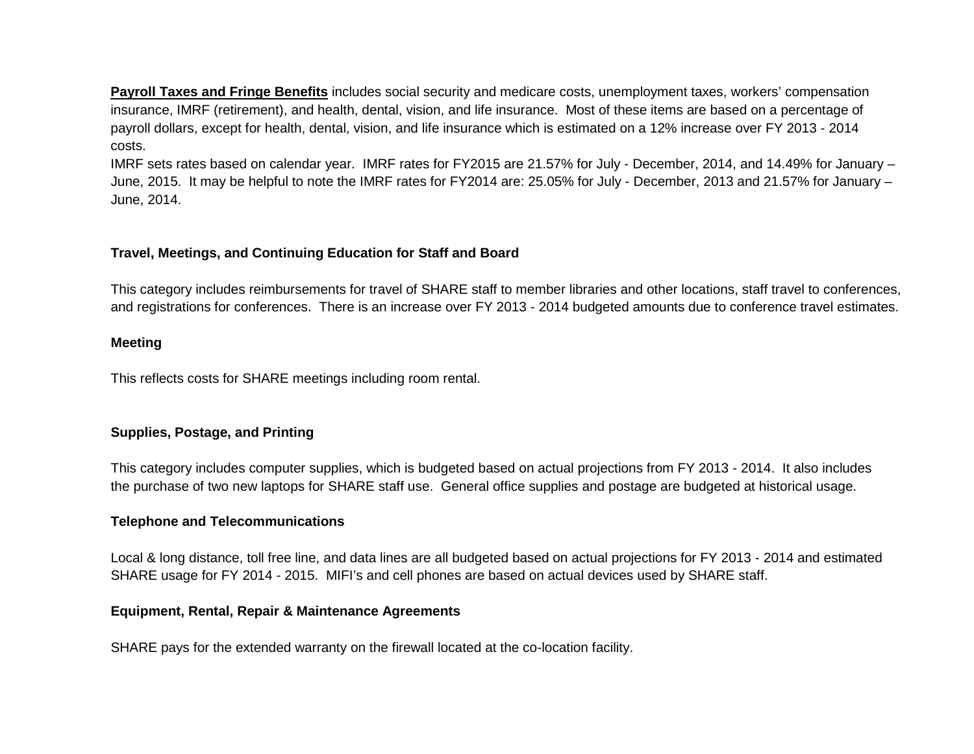**Payroll Taxes and Fringe Benefits** includes social security and medicare costs, unemployment taxes, workers' compensation insurance, IMRF (retirement), and health, dental, vision, and life insurance. Most of these items are based on a percentage of payroll dollars, except for health, dental, vision, and life insurance which is estimated on a 12% increase over FY 2013 - 2014 costs.

IMRF sets rates based on calendar year. IMRF rates for FY2015 are 21.57% for July - December, 2014, and 14.49% for January – June, 2015. It may be helpful to note the IMRF rates for FY2014 are: 25.05% for July - December, 2013 and 21.57% for January – June, 2014.

## **Travel, Meetings, and Continuing Education for Staff and Board**

This category includes reimbursements for travel of SHARE staff to member libraries and other locations, staff travel to conferences, and registrations for conferences. There is an increase over FY 2013 - 2014 budgeted amounts due to conference travel estimates.

### **Meeting**

This reflects costs for SHARE meetings including room rental.

## **Supplies, Postage, and Printing**

This category includes computer supplies, which is budgeted based on actual projections from FY 2013 - 2014. It also includes the purchase of two new laptops for SHARE staff use. General office supplies and postage are budgeted at historical usage.

### **Telephone and Telecommunications**

Local & long distance, toll free line, and data lines are all budgeted based on actual projections for FY 2013 - 2014 and estimated SHARE usage for FY 2014 - 2015. MIFI's and cell phones are based on actual devices used by SHARE staff.

### **Equipment, Rental, Repair & Maintenance Agreements**

SHARE pays for the extended warranty on the firewall located at the co-location facility.